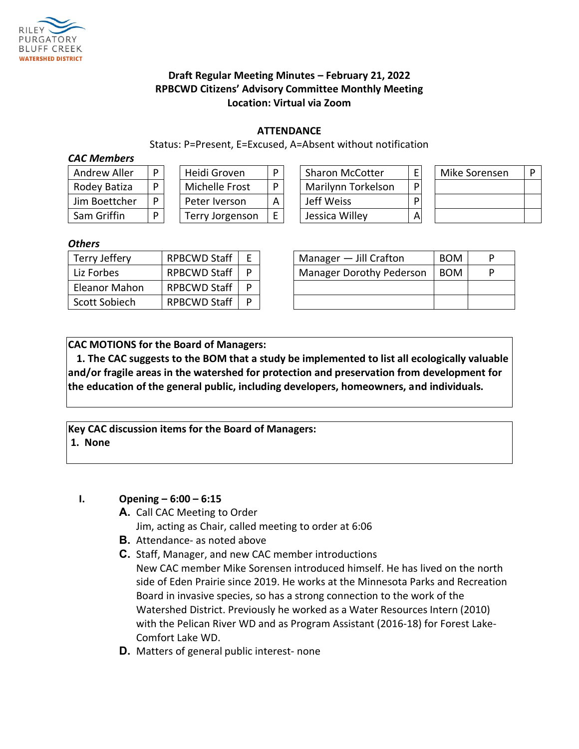

# **Draft Regular Meeting Minutes – February 21, 2022 RPBCWD Citizens' Advisory Committee Monthly Meeting Location: Virtual via Zoom**

#### **ATTENDANCE**

Status: P=Present, E=Excused, A=Absent without notification

#### *CAC Members*

| <b>Andrew Aller</b> |  |
|---------------------|--|
| Rodey Batiza        |  |
| Jim Boettcher       |  |
| Sam Griffin         |  |

| Heidi Groven           |  |  |  |  |  |
|------------------------|--|--|--|--|--|
| Michelle Frost         |  |  |  |  |  |
| Peter Iverson          |  |  |  |  |  |
| <b>Terry Jorgenson</b> |  |  |  |  |  |

| Andrew Aller  | Heidi Groven    |   | <b>Sharon McCotter</b> |   | Mike Sorensen | D |
|---------------|-----------------|---|------------------------|---|---------------|---|
| Rodey Batiza  | Michelle Frost  | D | Marilynn Torkelson     | D |               |   |
| Jim Boettcher | Peter Iverson   |   | Jeff Weiss             | D |               |   |
| Sam Griffin   | Terry Jorgenson |   | Jessica Willey         | А |               |   |

| Mike Sorensen | D |  |  |
|---------------|---|--|--|
|               |   |  |  |
|               |   |  |  |
|               |   |  |  |

#### *Others*

| Terry Jeffery | <b>RPBCWD Staff</b> |  |  | Manager $-$ Jill Crafton        | <b>BOM</b> | D |
|---------------|---------------------|--|--|---------------------------------|------------|---|
| Liz Forbes    | <b>RPBCWD Staff</b> |  |  | <b>Manager Dorothy Pederson</b> | <b>BOM</b> | D |
| Eleanor Mahon | <b>RPBCWD Staff</b> |  |  |                                 |            |   |
| Scott Sobiech | <b>RPBCWD Staff</b> |  |  |                                 |            |   |

| Manager $-$ Jill Crafton        | <b>BOM</b> |  |
|---------------------------------|------------|--|
| <b>Manager Dorothy Pederson</b> | <b>BOM</b> |  |
|                                 |            |  |
|                                 |            |  |

**CAC MOTIONS for the Board of Managers:** 

**1. The CAC suggests to the BOM that a study be implemented to list all ecologically valuable and/or fragile areas in the watershed for protection and preservation from development for the education of the general public, including developers, homeowners, and individuals.**

**Key CAC discussion items for the Board of Managers: 1. None**

# **I. Opening – 6:00 – 6:15**

**A.** Call CAC Meeting to Order

Jim, acting as Chair, called meeting to order at 6:06

- **B.** Attendance- as noted above
- **C.** Staff, Manager, and new CAC member introductions New CAC member Mike Sorensen introduced himself. He has lived on the north side of Eden Prairie since 2019. He works at the Minnesota Parks and Recreation Board in invasive species, so has a strong connection to the work of the Watershed District. Previously he worked as a Water Resources Intern (2010) with the Pelican River WD and as Program Assistant (2016-18) for Forest Lake-Comfort Lake WD.
- **D.** Matters of general public interest- none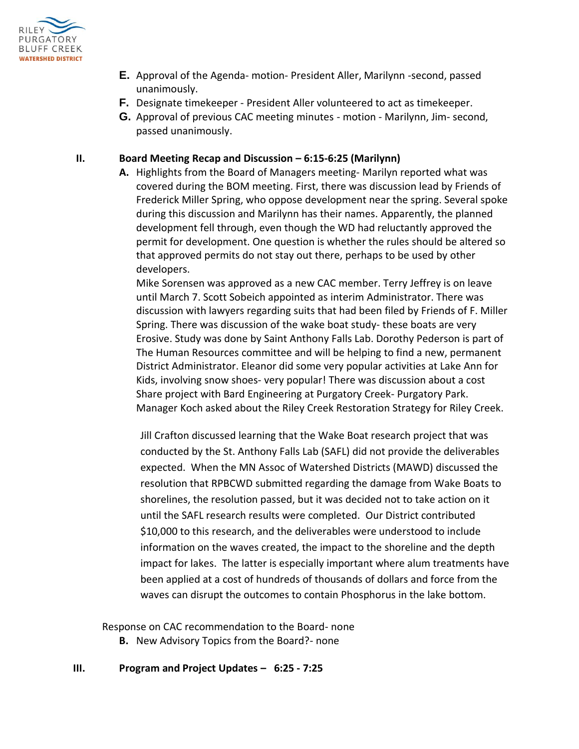

- **E.** Approval of the Agenda- motion- President Aller, Marilynn -second, passed unanimously.
- **F.** Designate timekeeper President Aller volunteered to act as timekeeper.
- **G.** Approval of previous CAC meeting minutes motion Marilynn, Jim- second, passed unanimously.

### **II. Board Meeting Recap and Discussion – 6:15-6:25 (Marilynn)**

**A.** Highlights from the Board of Managers meeting- Marilyn reported what was covered during the BOM meeting. First, there was discussion lead by Friends of Frederick Miller Spring, who oppose development near the spring. Several spoke during this discussion and Marilynn has their names. Apparently, the planned development fell through, even though the WD had reluctantly approved the permit for development. One question is whether the rules should be altered so that approved permits do not stay out there, perhaps to be used by other developers.

Mike Sorensen was approved as a new CAC member. Terry Jeffrey is on leave until March 7. Scott Sobeich appointed as interim Administrator. There was discussion with lawyers regarding suits that had been filed by Friends of F. Miller Spring. There was discussion of the wake boat study- these boats are very Erosive. Study was done by Saint Anthony Falls Lab. Dorothy Pederson is part of The Human Resources committee and will be helping to find a new, permanent District Administrator. Eleanor did some very popular activities at Lake Ann for Kids, involving snow shoes- very popular! There was discussion about a cost Share project with Bard Engineering at Purgatory Creek- Purgatory Park. Manager Koch asked about the Riley Creek Restoration Strategy for Riley Creek.

Jill Crafton discussed learning that the Wake Boat research project that was conducted by the St. Anthony Falls Lab (SAFL) did not provide the deliverables expected. When the MN Assoc of Watershed Districts (MAWD) discussed the resolution that RPBCWD submitted regarding the damage from Wake Boats to shorelines, the resolution passed, but it was decided not to take action on it until the SAFL research results were completed. Our District contributed \$10,000 to this research, and the deliverables were understood to include information on the waves created, the impact to the shoreline and the depth impact for lakes. The latter is especially important where alum treatments have been applied at a cost of hundreds of thousands of dollars and force from the waves can disrupt the outcomes to contain Phosphorus in the lake bottom.

Response on CAC recommendation to the Board- none

**B.** New Advisory Topics from the Board?- none

#### **III. Program and Project Updates – 6:25 - 7:25**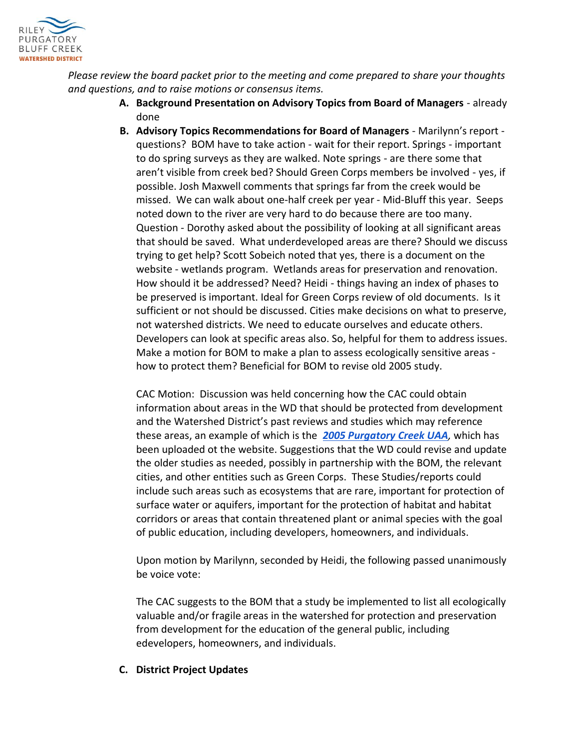

*Please review the board packet prior to the meeting and come prepared to share your thoughts and questions, and to raise motions or consensus items.*

- **A. Background Presentation on Advisory Topics from Board of Managers**  already done
- **B. Advisory Topics Recommendations for Board of Managers**  Marilynn's report questions? BOM have to take action - wait for their report. Springs - important to do spring surveys as they are walked. Note springs - are there some that aren't visible from creek bed? Should Green Corps members be involved - yes, if possible. Josh Maxwell comments that springs far from the creek would be missed. We can walk about one-half creek per year - Mid-Bluff this year. Seeps noted down to the river are very hard to do because there are too many. Question - Dorothy asked about the possibility of looking at all significant areas that should be saved. What underdeveloped areas are there? Should we discuss trying to get help? Scott Sobeich noted that yes, there is a document on the website - wetlands program. Wetlands areas for preservation and renovation. How should it be addressed? Need? Heidi - things having an index of phases to be preserved is important. Ideal for Green Corps review of old documents. Is it sufficient or not should be discussed. Cities make decisions on what to preserve, not watershed districts. We need to educate ourselves and educate others. Developers can look at specific areas also. So, helpful for them to address issues. Make a motion for BOM to make a plan to assess ecologically sensitive areas how to protect them? Beneficial for BOM to revise old 2005 study.

CAC Motion: Discussion was held concerning how the CAC could obtain information about areas in the WD that should be protected from development and the Watershed District's past reviews and studies which may reference these areas, an example of which is the *[2005 Purgatory Creek UAA](https://rpbcwd.org/purgatory-creek-UAA),* which has been uploaded ot the website. Suggestions that the WD could revise and update the older studies as needed, possibly in partnership with the BOM, the relevant cities, and other entities such as Green Corps. These Studies/reports could include such areas such as ecosystems that are rare, important for protection of surface water or aquifers, important for the protection of habitat and habitat corridors or areas that contain threatened plant or animal species with the goal of public education, including developers, homeowners, and individuals.

Upon motion by Marilynn, seconded by Heidi, the following passed unanimously be voice vote:

The CAC suggests to the BOM that a study be implemented to list all ecologically valuable and/or fragile areas in the watershed for protection and preservation from development for the education of the general public, including edevelopers, homeowners, and individuals.

# **C. District Project Updates**